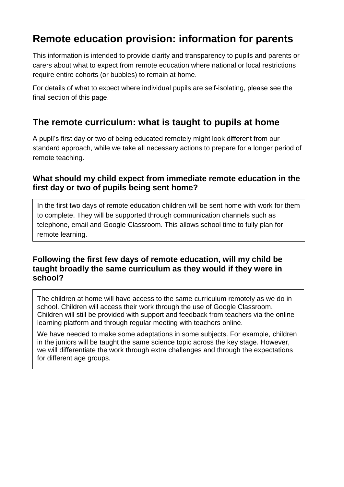# **Remote education provision: information for parents**

This information is intended to provide clarity and transparency to pupils and parents or carers about what to expect from remote education where national or local restrictions require entire cohorts (or bubbles) to remain at home.

For details of what to expect where individual pupils are self-isolating, please see the final section of this page.

# **The remote curriculum: what is taught to pupils at home**

A pupil's first day or two of being educated remotely might look different from our standard approach, while we take all necessary actions to prepare for a longer period of remote teaching.

### **What should my child expect from immediate remote education in the first day or two of pupils being sent home?**

In the first two days of remote education children will be sent home with work for them to complete. They will be supported through communication channels such as telephone, email and Google Classroom. This allows school time to fully plan for remote learning.

## **Following the first few days of remote education, will my child be taught broadly the same curriculum as they would if they were in school?**

The children at home will have access to the same curriculum remotely as we do in school. Children will access their work through the use of Google Classroom. Children will still be provided with support and feedback from teachers via the online learning platform and through regular meeting with teachers online.

We have needed to make some adaptations in some subjects. For example, children in the juniors will be taught the same science topic across the key stage. However, we will differentiate the work through extra challenges and through the expectations for different age groups.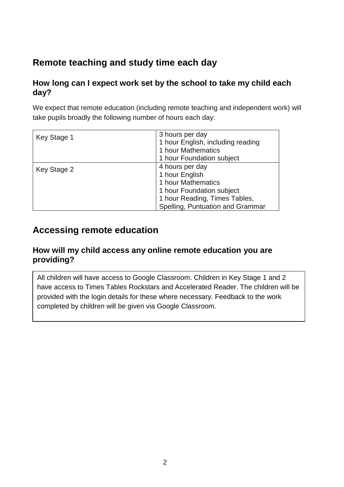# **Remote teaching and study time each day**

## **How long can I expect work set by the school to take my child each day?**

We expect that remote education (including remote teaching and independent work) will take pupils broadly the following number of hours each day:

| Key Stage 1 | 3 hours per day<br>1 hour English, including reading<br>1 hour Mathematics |
|-------------|----------------------------------------------------------------------------|
|             | 1 hour Foundation subject                                                  |
| Key Stage 2 | 4 hours per day                                                            |
|             | 1 hour English                                                             |
|             | 1 hour Mathematics                                                         |
|             | 1 hour Foundation subject                                                  |
|             | 1 hour Reading, Times Tables,                                              |
|             | Spelling, Puntuation and Grammar                                           |

# **Accessing remote education**

#### **How will my child access any online remote education you are providing?**

All children will have access to Google Classroom. Children in Key Stage 1 and 2 have access to Times Tables Rockstars and Accelerated Reader. The children will be provided with the login details for these where necessary. Feedback to the work completed by children will be given via Google Classroom.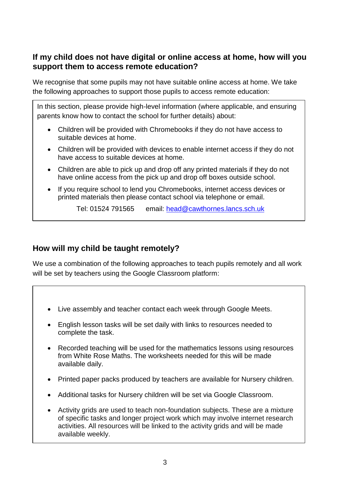## **If my child does not have digital or online access at home, how will you support them to access remote education?**

We recognise that some pupils may not have suitable online access at home. We take the following approaches to support those pupils to access remote education:

In this section, please provide high-level information (where applicable, and ensuring parents know how to contact the school for further details) about:

- Children will be provided with Chromebooks if they do not have access to suitable devices at home.
- Children will be provided with devices to enable internet access if they do not have access to suitable devices at home.
- Children are able to pick up and drop off any printed materials if they do not have online access from the pick up and drop off boxes outside school.
- If you require school to lend you Chromebooks, internet access devices or printed materials then please contact school via telephone or email.

Tel: 01524 791565 email: [head@cawthornes.lancs.sch.uk](mailto:head@cawthornes.lancs.sch.uk)

# **How will my child be taught remotely?**

÷

We use a combination of the following approaches to teach pupils remotely and all work will be set by teachers using the Google Classroom platform:

- Live assembly and teacher contact each week through Google Meets.
- English lesson tasks will be set daily with links to resources needed to complete the task.
- Recorded teaching will be used for the mathematics lessons using resources from White Rose Maths. The worksheets needed for this will be made available daily.
- Printed paper packs produced by teachers are available for Nursery children.
- Additional tasks for Nursery children will be set via Google Classroom.
- Activity grids are used to teach non-foundation subjects. These are a mixture of specific tasks and longer project work which may involve internet research activities. All resources will be linked to the activity grids and will be made available weekly.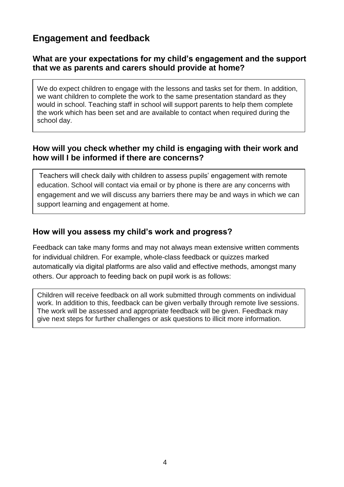# **Engagement and feedback**

### **What are your expectations for my child's engagement and the support that we as parents and carers should provide at home?**

We do expect children to engage with the lessons and tasks set for them. In addition, we want children to complete the work to the same presentation standard as they would in school. Teaching staff in school will support parents to help them complete the work which has been set and are available to contact when required during the school day.

### **How will you check whether my child is engaging with their work and how will I be informed if there are concerns?**

Teachers will check daily with children to assess pupils' engagement with remote education. School will contact via email or by phone is there are any concerns with engagement and we will discuss any barriers there may be and ways in which we can support learning and engagement at home.

#### **How will you assess my child's work and progress?**

Feedback can take many forms and may not always mean extensive written comments for individual children. For example, whole-class feedback or quizzes marked automatically via digital platforms are also valid and effective methods, amongst many others. Our approach to feeding back on pupil work is as follows:

Children will receive feedback on all work submitted through comments on individual work. In addition to this, feedback can be given verbally through remote live sessions. The work will be assessed and appropriate feedback will be given. Feedback may give next steps for further challenges or ask questions to illicit more information.